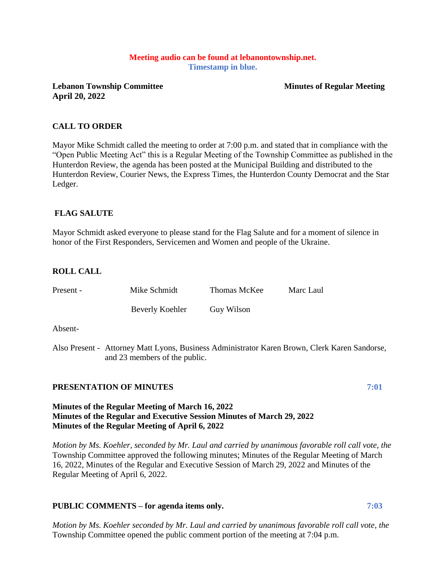# **Meeting audio can be found at lebanontownship.net. Timestamp in blue.**

**Lebanon Township Committee Minutes of Regular Meeting April 20, 2022**

## **CALL TO ORDER**

Mayor Mike Schmidt called the meeting to order at 7:00 p.m. and stated that in compliance with the "Open Public Meeting Act" this is a Regular Meeting of the Township Committee as published in the Hunterdon Review, the agenda has been posted at the Municipal Building and distributed to the Hunterdon Review, Courier News, the Express Times, the Hunterdon County Democrat and the Star Ledger.

# **FLAG SALUTE**

Mayor Schmidt asked everyone to please stand for the Flag Salute and for a moment of silence in honor of the First Responders, Servicemen and Women and people of the Ukraine.

## **ROLL CALL**

| Present - | Mike Schmidt    | Thomas McKee | Marc Laul |
|-----------|-----------------|--------------|-----------|
|           | Beverly Koehler | Guy Wilson   |           |

Absent-

Also Present - Attorney Matt Lyons, Business Administrator Karen Brown, Clerk Karen Sandorse, and 23 members of the public.

# **PRESENTATION OF MINUTES 7:01**

## **Minutes of the Regular Meeting of March 16, 2022 Minutes of the Regular and Executive Session Minutes of March 29, 2022 Minutes of the Regular Meeting of April 6, 2022**

*Motion by Ms. Koehler, seconded by Mr. Laul and carried by unanimous favorable roll call vote, the* Township Committee approved the following minutes; Minutes of the Regular Meeting of March 16, 2022, Minutes of the Regular and Executive Session of March 29, 2022 and Minutes of the Regular Meeting of April 6, 2022.

## **PUBLIC COMMENTS – for agenda items only. 7:03**

*Motion by Ms. Koehler seconded by Mr. Laul and carried by unanimous favorable roll call vote, the* Township Committee opened the public comment portion of the meeting at 7:04 p.m.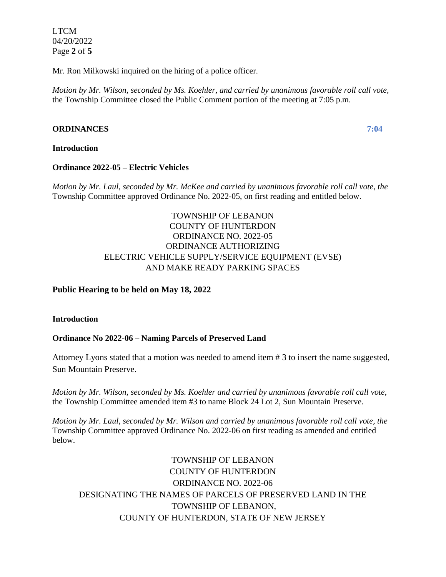LTCM 04/20/2022 Page **2** of **5**

Mr. Ron Milkowski inquired on the hiring of a police officer.

*Motion by Mr. Wilson, seconded by Ms. Koehler, and carried by unanimous favorable roll call vote,* the Township Committee closed the Public Comment portion of the meeting at 7:05 p.m.

# **ORDINANCES 7:04**

## **Introduction**

## **Ordinance 2022-05 – Electric Vehicles**

*Motion by Mr. Laul, seconded by Mr. McKee and carried by unanimous favorable roll call vote, the*  Township Committee approved Ordinance No. 2022-05, on first reading and entitled below.

# TOWNSHIP OF LEBANON COUNTY OF HUNTERDON ORDINANCE NO. 2022-05 ORDINANCE AUTHORIZING ELECTRIC VEHICLE SUPPLY/SERVICE EQUIPMENT (EVSE) AND MAKE READY PARKING SPACES

# **Public Hearing to be held on May 18, 2022**

## **Introduction**

# **Ordinance No 2022-06 – Naming Parcels of Preserved Land**

Attorney Lyons stated that a motion was needed to amend item # 3 to insert the name suggested, Sun Mountain Preserve.

*Motion by Mr. Wilson, seconded by Ms. Koehler and carried by unanimous favorable roll call vote,*  the Township Committee amended item #3 to name Block 24 Lot 2, Sun Mountain Preserve.

*Motion by Mr. Laul, seconded by Mr. Wilson and carried by unanimous favorable roll call vote, the* Township Committee approved Ordinance No. 2022-06 on first reading as amended and entitled below.

TOWNSHIP OF LEBANON COUNTY OF HUNTERDON ORDINANCE NO. 2022-06 DESIGNATING THE NAMES OF PARCELS OF PRESERVED LAND IN THE TOWNSHIP OF LEBANON, COUNTY OF HUNTERDON, STATE OF NEW JERSEY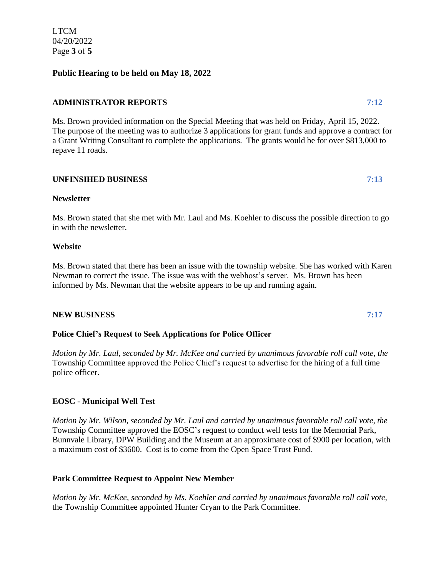LTCM 04/20/2022 Page **3** of **5**

# **Public Hearing to be held on May 18, 2022**

## **ADMINISTRATOR REPORTS 7:12**

Ms. Brown provided information on the Special Meeting that was held on Friday, April 15, 2022. The purpose of the meeting was to authorize 3 applications for grant funds and approve a contract for a Grant Writing Consultant to complete the applications. The grants would be for over \$813,000 to repave 11 roads.

## **UNFINSIHED BUSINESS 7:13**

## **Newsletter**

Ms. Brown stated that she met with Mr. Laul and Ms. Koehler to discuss the possible direction to go in with the newsletter.

## **Website**

Ms. Brown stated that there has been an issue with the township website. She has worked with Karen Newman to correct the issue. The issue was with the webhost's server. Ms. Brown has been informed by Ms. Newman that the website appears to be up and running again.

## **NEW BUSINESS 7:17**

## **Police Chief's Request to Seek Applications for Police Officer**

*Motion by Mr. Laul, seconded by Mr. McKee and carried by unanimous favorable roll call vote, the* Township Committee approved the Police Chief's request to advertise for the hiring of a full time police officer.

# **EOSC - Municipal Well Test**

*Motion by Mr. Wilson, seconded by Mr. Laul and carried by unanimous favorable roll call vote, the* Township Committee approved the EOSC's request to conduct well tests for the Memorial Park, Bunnvale Library, DPW Building and the Museum at an approximate cost of \$900 per location, with a maximum cost of \$3600. Cost is to come from the Open Space Trust Fund.

## **Park Committee Request to Appoint New Member**

*Motion by Mr. McKee, seconded by Ms. Koehler and carried by unanimous favorable roll call vote,*  the Township Committee appointed Hunter Cryan to the Park Committee.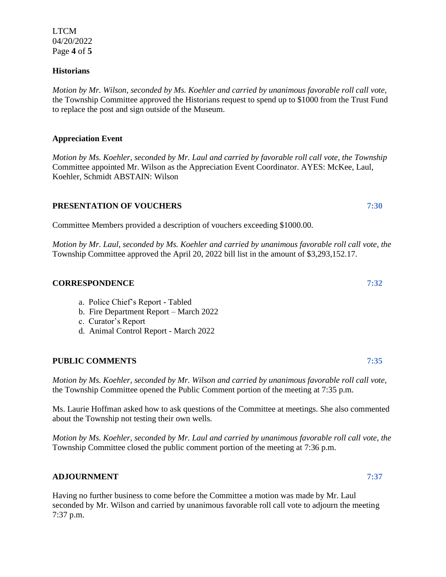LTCM 04/20/2022 Page **4** of **5**

## **Historians**

*Motion by Mr. Wilson, seconded by Ms. Koehler and carried by unanimous favorable roll call vote,*  the Township Committee approved the Historians request to spend up to \$1000 from the Trust Fund to replace the post and sign outside of the Museum.

# **Appreciation Event**

*Motion by Ms. Koehler, seconded by Mr. Laul and carried by favorable roll call vote, the Township*  Committee appointed Mr. Wilson as the Appreciation Event Coordinator. AYES: McKee, Laul, Koehler, Schmidt ABSTAIN: Wilson

## **PRESENTATION OF VOUCHERS 7:30**

Committee Members provided a description of vouchers exceeding \$1000.00.

*Motion by Mr. Laul, seconded by Ms. Koehler and carried by unanimous favorable roll call vote, the* Township Committee approved the April 20, 2022 bill list in the amount of \$3,293,152.17.

## **CORRESPONDENCE 7:32**

- a. Police Chief's Report Tabled
- b. Fire Department Report March 2022
- c. Curator's Report
- d. Animal Control Report March 2022

## **PUBLIC COMMENTS 7:35**

*Motion by Ms. Koehler, seconded by Mr. Wilson and carried by unanimous favorable roll call vote,* the Township Committee opened the Public Comment portion of the meeting at 7:35 p.m.

Ms. Laurie Hoffman asked how to ask questions of the Committee at meetings. She also commented about the Township not testing their own wells.

*Motion by Ms. Koehler, seconded by Mr. Laul and carried by unanimous favorable roll call vote, the* Township Committee closed the public comment portion of the meeting at 7:36 p.m.

## **ADJOURNMENT 7:37**

Having no further business to come before the Committee a motion was made by Mr. Laul seconded by Mr. Wilson and carried by unanimous favorable roll call vote to adjourn the meeting 7:37 p.m.